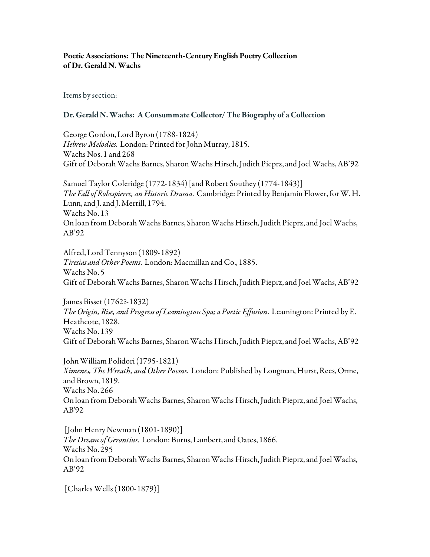## Poetic Associations: The Nineteenth-Century English Poetry Collection of Dr. Gerald N. Wachs

Items by section:

## Dr. Gerald N. Wachs: A Consummate Collector/The Biography of a Collection

George Gordon, Lord Byron (1788-1824) *Hebrew Melodies*. London: Printed for John Murray, 1815. Wachs Nos. 1 and 268 Gift of Deborah Wachs Barnes, Sharon Wachs Hirsch, Judith Pieprz, and Joel Wachs, AB'92

Samuel Taylor Coleridge (1772-1834) [and Robert Southey (1774-1843)] *The Fall of Robespierre, an Historic Drama*. Cambridge: Printed by Benjamin Flower, for W. H. Lunn, and J. and J. Merrill, 1794. Wachs No. 13 On loan from Deborah Wachs Barnes, Sharon Wachs Hirsch, Judith Pieprz, and Joel Wachs, AB'92

Alfred, Lord Tennyson (1809-1892) *Tiresias and Other Poems*. London: Macmillan and Co., 1885. Wachs No. 5 Gift of Deborah Wachs Barnes, Sharon Wachs Hirsch, Judith Pieprz, and Joel Wachs, AB'92

James Bisset (1762?-1832) *The Origin, Rise, and Progress of Leamington Spa; a Poetic Effusion*. Leamington: Printed by E. Heathcote, 1828. Wachs No. 139 Gift of Deborah Wachs Barnes, Sharon Wachs Hirsch, Judith Pieprz, and Joel Wachs, AB'92

John William Polidori (1795-1821) *Ximenes, The Wreath, and Other Poems*. London: Published by Longman, Hurst, Rees, Orme, and Brown, 1819. Wachs No. 266 On loan from Deborah Wachs Barnes, Sharon Wachs Hirsch, Judith Pieprz, and Joel Wachs, AB'92

 [John Henry Newman (1801-1890)] *The Dream of Gerontius*. London: Burns, Lambert, and Oates, 1866. Wachs No. 295 On loan from Deborah Wachs Barnes, Sharon Wachs Hirsch, Judith Pieprz, and Joel Wachs, AB'92

[Charles Wells (1800-1879)]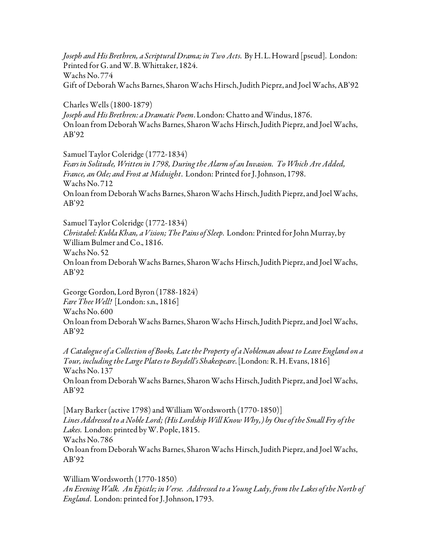*Joseph and His Brethren, a Scriptural Drama; in Two Acts*. By H. L. Howard [pseud]. London: Printed for G. and W. B. Whittaker, 1824. Wachs No. 774 Gift of Deborah Wachs Barnes, Sharon Wachs Hirsch, Judith Pieprz, and Joel Wachs, AB'92

Charles Wells (1800-1879) *Joseph and His Brethren: a Dramatic Poem*. London: Chatto and Windus, 1876. On loan from Deborah Wachs Barnes, Sharon Wachs Hirsch, Judith Pieprz, and Joel Wachs, AB'92

Samuel Taylor Coleridge (1772-1834)

*Fears in Solitude, Written in 1798, During the Alarm of an Invasion. To Which Are Added, France, an Ode; and Frost at Midnight*. London: Printed for J. Johnson, 1798. Wachs No. 712 On loan from Deborah Wachs Barnes, Sharon Wachs Hirsch, Judith Pieprz, and Joel Wachs, AB'92

Samuel Taylor Coleridge (1772-1834)

*Christabel: Kubla Khan, a Vision; The Pains of Sleep*. London: Printed for John Murray, by William Bulmer and Co., 1816.

Wachs No. 52

On loan from Deborah Wachs Barnes, Sharon Wachs Hirsch, Judith Pieprz, and Joel Wachs, AB'92

George Gordon, Lord Byron (1788-1824) *Fare Thee Well!* [London: s.n., 1816] Wachs No. 600 On loan from Deborah Wachs Barnes, Sharon Wachs Hirsch, Judith Pieprz, and Joel Wachs, AB'92

*A Catalogue of a Collection of Books, Late the Property of a Nobleman about to Leave England on a Tour, including the Large Plates to Boydell's Shakespeare*. [London: R. H. Evans, 1816] Wachs No. 137 On loan from Deborah Wachs Barnes, Sharon Wachs Hirsch, Judith Pieprz, and Joel Wachs, AB'92

[Mary Barker (active 1798) and William Wordsworth (1770-1850)] *Lines Addressed to a Noble Lord; (His Lordship Will Know Why,) by One of the Small Fry of the Lakes*. London: printed by W. Pople, 1815. Wachs No. 786 On loan from Deborah Wachs Barnes, Sharon Wachs Hirsch, Judith Pieprz, and Joel Wachs, AB'92

William Wordsworth (1770-1850) *An Evening Walk. An Epistle; in Verse. Addressed to a Young Lady, from the Lakes of the North of England*. London: printed for J. Johnson, 1793.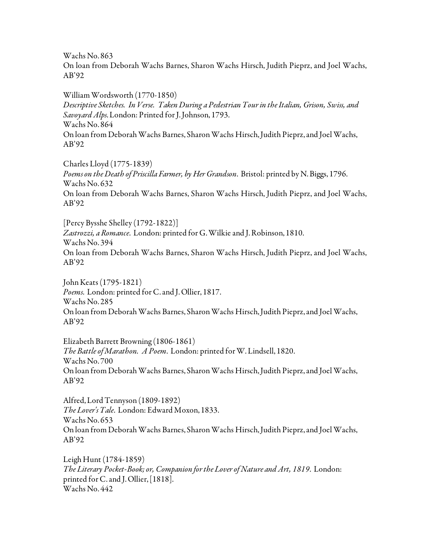Wachs No. 863

On loan from Deborah Wachs Barnes, Sharon Wachs Hirsch, Judith Pieprz, and Joel Wachs, AB'92

William Wordsworth (1770-1850) *Descriptive Sketches. In Verse. Taken During a Pedestrian Tour in the Italian, Grison, Swiss, and Savoyard Alps*. London: Printed for J. Johnson, 1793. Wachs No. 864 On loan from Deborah Wachs Barnes, Sharon Wachs Hirsch, Judith Pieprz, and Joel Wachs, AB'92

Charles Lloyd (1775-1839) *Poems on the Death of Priscilla Farmer, by Her Grandson*. Bristol: printed by N. Biggs, 1796. Wachs No. 632 On loan from Deborah Wachs Barnes, Sharon Wachs Hirsch, Judith Pieprz, and Joel Wachs, AB'92

[Percy Bysshe Shelley (1792-1822)]

*Zastrozzi, a Romance*. London: printed for G. Wilkie and J. Robinson, 1810. Wachs No. 394 On loan from Deborah Wachs Barnes, Sharon Wachs Hirsch, Judith Pieprz, and Joel Wachs, AB'92

John Keats (1795-1821) *Poems*. London: printed for C. and J. Ollier, 1817. Wachs No. 285 On loan from Deborah Wachs Barnes, Sharon Wachs Hirsch, Judith Pieprz, and Joel Wachs, AB'92

Elizabeth Barrett Browning (1806-1861) *The Battle of Marathon. A Poem*. London: printed for W. Lindsell, 1820. Wachs No. 700 On loan from Deborah Wachs Barnes, Sharon Wachs Hirsch, Judith Pieprz, and Joel Wachs, AB'92

Alfred, Lord Tennyson (1809-1892) *The Lover's Tale*. London: Edward Moxon, 1833. Wachs No. 653 On loan from Deborah Wachs Barnes, Sharon Wachs Hirsch, Judith Pieprz, and Joel Wachs, AB'92

Leigh Hunt (1784-1859) *The Literary Pocket-Book; or, Companion for the Lover of Nature and Art, 1819*. London: printed for C. and J. Ollier, [1818]. Wachs No. 442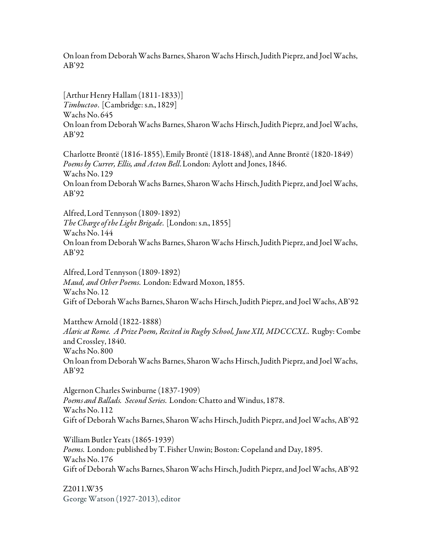On loan from Deborah Wachs Barnes, Sharon Wachs Hirsch, Judith Pieprz, and Joel Wachs, AB'92

[Arthur Henry Hallam (1811-1833)] *Timbuctoo*. [Cambridge: s.n., 1829] Wachs No. 645 On loan from Deborah Wachs Barnes, Sharon Wachs Hirsch, Judith Pieprz, and Joel Wachs, AB'92

Charlotte Brontë (1816-1855), Emily Brontë (1818-1848), and Anne Brontë (1820-1849) *Poems by Currer, Ellis, and Acton Bell*. London: Aylott and Jones, 1846. Wachs No. 129 On loan from Deborah Wachs Barnes, Sharon Wachs Hirsch, Judith Pieprz, and Joel Wachs, AB'92

Alfred, Lord Tennyson (1809-1892) *The Charge of the Light Brigade*. [London: s.n., 1855] Wachs No. 144 On loan from Deborah Wachs Barnes, Sharon Wachs Hirsch, Judith Pieprz, and Joel Wachs, AB'92

Alfred, Lord Tennyson (1809-1892) *Maud, and Other Poems*. London: Edward Moxon, 1855. Wachs No. 12 Gift of Deborah Wachs Barnes, Sharon Wachs Hirsch, Judith Pieprz, and Joel Wachs, AB'92

Matthew Arnold (1822-1888) *Alaric at Rome. A Prize Poem, Recited in Rugby School, June XII, MDCCCXL*. Rugby: Combe and Crossley, 1840. Wachs No. 800 On loan from Deborah Wachs Barnes, Sharon Wachs Hirsch, Judith Pieprz, and Joel Wachs, AB'92

Algernon Charles Swinburne (1837-1909) *Poems and Ballads. Second Series*. London: Chatto and Windus, 1878. Wachs No. 112 Gift of Deborah Wachs Barnes, Sharon Wachs Hirsch, Judith Pieprz, and Joel Wachs, AB'92

William Butler Yeats (1865-1939) *Poems*. London: published by T. Fisher Unwin; Boston: Copeland and Day, 1895. Wachs No. 176 Gift of Deborah Wachs Barnes, Sharon Wachs Hirsch, Judith Pieprz, and Joel Wachs, AB'92

Z2011.W35 George Watson (1927-2013), editor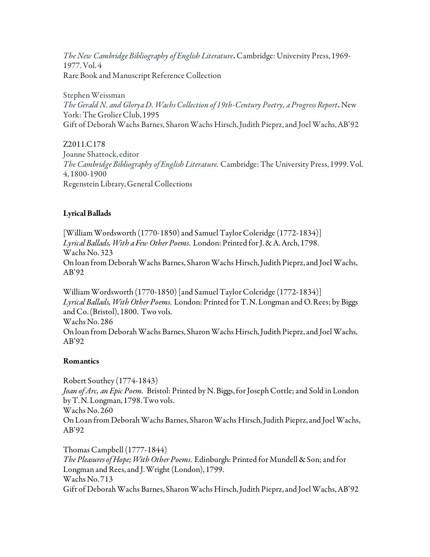*The New Cambridge Bibliography of English Literature*. Cambridge: University Press, 1969- 1977. Vol. 4 Rare Book and Manuscript Reference Collection

Stephen Weissman *The Gerald N. and Glorya D. Wachs Collection of 19th-Century Poetry, a Progress Report*. New York: The Grolier Club, 1995 Gift of Deborah Wachs Barnes, Sharon Wachs Hirsch, Judith Pieprz, and Joel Wachs, AB'92

Z2011.C178 Joanne Shattock, editor *The Cambridge Bibliography of English Literature.* Cambridge: The University Press, 1999. Vol. 4, 1800-1900 Regenstein Library, General Collections

# Lyrical Ballads

[William Wordsworth (1770-1850) and Samuel Taylor Coleridge (1772-1834)] *Lyrical Ballads, With a Few Other Poems*. London: Printed for J. & A. Arch, 1798. Wachs No. 323 On loan from Deborah Wachs Barnes, Sharon Wachs Hirsch, Judith Pieprz, and Joel Wachs, AB'92

William Wordsworth (1770-1850) [and Samuel Taylor Coleridge (1772-1834)] *Lyrical Ballads, With Other Poems*. London: Printed for T. N. Longman and O. Rees; by Biggs and Co. (Bristol), 1800. Two vols. Wachs No. 286 On loan from Deborah Wachs Barnes, Sharon Wachs Hirsch, Judith Pieprz, and Joel Wachs, AB'92

## Romantics

Robert Southey (1774-1843) *Joan of Arc, an Epic Poem.* Bristol: Printed by N. Biggs, for Joseph Cottle; and Sold in London by T. N. Longman, 1798. Two vols. Wachs No. 260 On Loan from Deborah Wachs Barnes, Sharon Wachs Hirsch, Judith Pieprz, and Joel Wachs, AB'92

Thomas Campbell (1777-1844) *The Pleasures of Hope; With Other Poems*. Edinburgh: Printed for Mundell & Son; and for Longman and Rees, and J. Wright (London), 1799. Wachs No. 713 Gift of Deborah Wachs Barnes, Sharon Wachs Hirsch, Judith Pieprz, and Joel Wachs, AB'92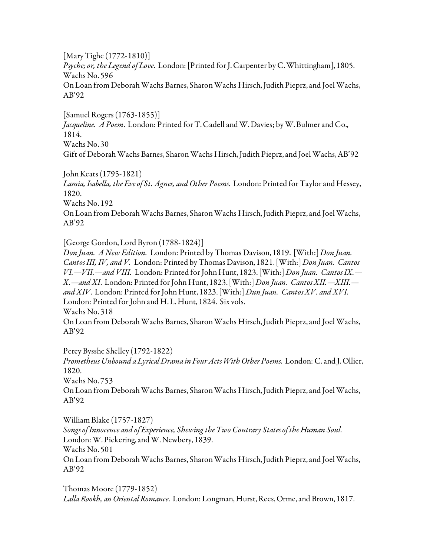[Mary Tighe (1772-1810)] *Psyche; or, the Legend of Love*. London: [Printed for J. Carpenter by C. Whittingham], 1805. Wachs No. 596 On Loan from Deborah Wachs Barnes, Sharon Wachs Hirsch, Judith Pieprz, and Joel Wachs, AB'92

[Samuel Rogers (1763-1855)] *Jacqueline. A Poem*. London: Printed for T. Cadell and W. Davies; by W. Bulmer and Co., 1814. Wachs No. 30 Gift of Deborah Wachs Barnes, Sharon Wachs Hirsch, Judith Pieprz, and Joel Wachs, AB'92

John Keats (1795-1821) *Lamia, Isabella, the Eve of St. Agnes, and Other Poems*. London: Printed for Taylor and Hessey, 1820. Wachs No. 192 On Loan from Deborah Wachs Barnes, Sharon Wachs Hirsch, Judith Pieprz, and Joel Wachs, AB'92

[George Gordon, Lord Byron (1788-1824)]

*Don Juan. A New Edition.* London: Printed by Thomas Davison, 1819. [With:] *Don Juan. Cantos III, IV, and V.* London: Printed by Thomas Davison, 1821. [With:] *Don Juan. Cantos VI.—VII.—and VIII.* London: Printed for John Hunt, 1823. [With:] *Don Juan. Cantos IX.— X.—and XI*. London: Printed for John Hunt, 1823. [With:] *Don Juan. Cantos XII.—XIII. and XIV*. London: Printed for John Hunt, 1823. [With:] *Dun Juan. Cantos XV. and XVI*. London: Printed for John and H. L. Hunt, 1824. Six vols. Wachs No. 318

On Loan from Deborah Wachs Barnes, Sharon Wachs Hirsch, Judith Pieprz, and Joel Wachs, AB'92

Percy Bysshe Shelley (1792-1822)

*Prometheus Unbound a Lyrical Drama in Four Acts With Other Poems*. London: C. and J. Ollier, 1820.

Wachs No. 753

On Loan from Deborah Wachs Barnes, Sharon Wachs Hirsch, Judith Pieprz, and Joel Wachs, AB'92

William Blake (1757-1827) *Songs of Innocence and of Experience, Shewing the Two Contrary States of the Human Soul.*  London: W. Pickering, and W. Newbery, 1839. Wachs No. 501 On Loan from Deborah Wachs Barnes, Sharon Wachs Hirsch, Judith Pieprz, and Joel Wachs, AB'92

Thomas Moore (1779-1852) *Lalla Rookh, an Oriental Romance*. London: Longman, Hurst, Rees, Orme, and Brown, 1817.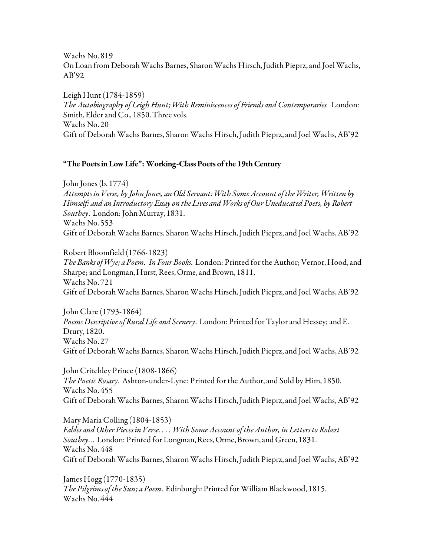Wachs No. 819 On Loan from Deborah Wachs Barnes, Sharon Wachs Hirsch, Judith Pieprz, and Joel Wachs, AB'92

Leigh Hunt (1784-1859) *The Autobiography of Leigh Hunt; With Reminiscences of Friends and Contemporaries.* London: Smith, Elder and Co., 1850. Three vols. Wachs No. 20 Gift of Deborah Wachs Barnes, Sharon Wachs Hirsch, Judith Pieprz, and Joel Wachs, AB'92

## "The Poets in Low Life": Working-Class Poets of the 19th Century

John Jones (b. 1774) *Attempts in Verse, by John Jones, an Old Servant: With Some Account of the Writer, Written by Himself: and an Introductory Essay on the Lives and Works of Our Uneducated Poets, by Robert Southey*. London: John Murray, 1831. Wachs No. 553 Gift of Deborah Wachs Barnes, Sharon Wachs Hirsch, Judith Pieprz, and Joel Wachs, AB'92

Robert Bloomfield (1766-1823) *The Banks of Wye; a Poem. In Four Books*. London: Printed for the Author; Vernor, Hood, and Sharpe; and Longman, Hurst, Rees, Orme, and Brown, 1811. Wachs No. 721 Gift of Deborah Wachs Barnes, Sharon Wachs Hirsch, Judith Pieprz, and Joel Wachs, AB'92

John Clare (1793-1864) *Poems Descriptive of Rural Life and Scenery*. London: Printed for Taylor and Hessey; and E. Drury, 1820. Wachs No. 27 Gift of Deborah Wachs Barnes, Sharon Wachs Hirsch, Judith Pieprz, and Joel Wachs, AB'92

John Critchley Prince (1808-1866) *The Poetic Rosary*. Ashton-under-Lyne: Printed for the Author, and Sold by Him, 1850. Wachs No. 455 Gift of Deborah Wachs Barnes, Sharon Wachs Hirsch, Judith Pieprz, and Joel Wachs, AB'92

Mary Maria Colling (1804-1853) *Fables and Other Pieces in Verse. . . . With Some Account of the Author, in Letters to Robert Southey..*. London: Printed for Longman, Rees, Orme, Brown, and Green, 1831. Wachs No. 448 Gift of Deborah Wachs Barnes, Sharon Wachs Hirsch, Judith Pieprz, and Joel Wachs, AB'92

James Hogg (1770-1835) *The Pilgrims of the Sun; a Poem*. Edinburgh: Printed for William Blackwood, 1815. Wachs No. 444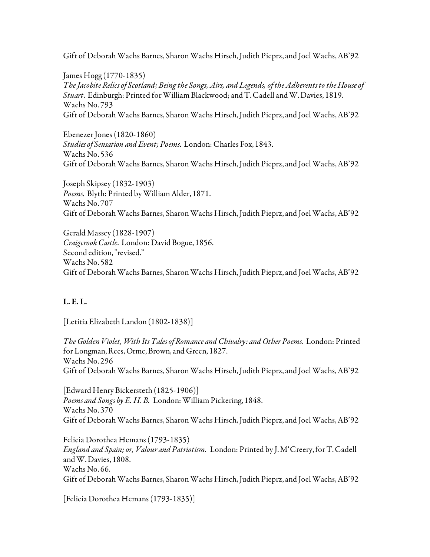Gift of Deborah Wachs Barnes, Sharon Wachs Hirsch, Judith Pieprz, and Joel Wachs, AB'92

James Hogg (1770-1835) *The Jacobite Relics of Scotland; Being the Songs, Airs, and Legends, of the Adherents to the House of Stuart*. Edinburgh: Printed for William Blackwood; and T. Cadell and W. Davies, 1819. Wachs No. 793 Gift of Deborah Wachs Barnes, Sharon Wachs Hirsch, Judith Pieprz, and Joel Wachs, AB'92

Ebenezer Jones (1820-1860) *Studies of Sensation and Event; Poems*. London: Charles Fox, 1843. Wachs No. 536 Gift of Deborah Wachs Barnes, Sharon Wachs Hirsch, Judith Pieprz, and Joel Wachs, AB'92

Joseph Skipsey (1832-1903) *Poems*. Blyth: Printed by William Alder, 1871. Wachs No. 707 Gift of Deborah Wachs Barnes, Sharon Wachs Hirsch, Judith Pieprz, and Joel Wachs, AB'92

Gerald Massey (1828-1907) *Craigcrook Castle*. London: David Bogue, 1856. Second edition, "revised." Wachs No. 582 Gift of Deborah Wachs Barnes, Sharon Wachs Hirsch, Judith Pieprz, and Joel Wachs, AB'92

# L. E. L.

[Letitia Elizabeth Landon (1802-1838)]

*The Golden Violet, With Its Tales of Romance and Chivalry: and Other Poems*. London: Printed for Longman, Rees, Orme, Brown, and Green, 1827. Wachs No. 296 Gift of Deborah Wachs Barnes, Sharon Wachs Hirsch, Judith Pieprz, and Joel Wachs, AB'92

[Edward Henry Bickersteth (1825-1906)] *Poems and Songs by E. H. B.* London: William Pickering, 1848. Wachs No. 370 Gift of Deborah Wachs Barnes, Sharon Wachs Hirsch, Judith Pieprz, and Joel Wachs, AB'92

Felicia Dorothea Hemans (1793-1835) *England and Spain; or, Valour and Patriotism.* London: Printed by J. M'Creery, for T. Cadell and W. Davies, 1808. Wachs No. 66. Gift of Deborah Wachs Barnes, Sharon Wachs Hirsch, Judith Pieprz, and Joel Wachs, AB'92

[Felicia Dorothea Hemans (1793-1835)]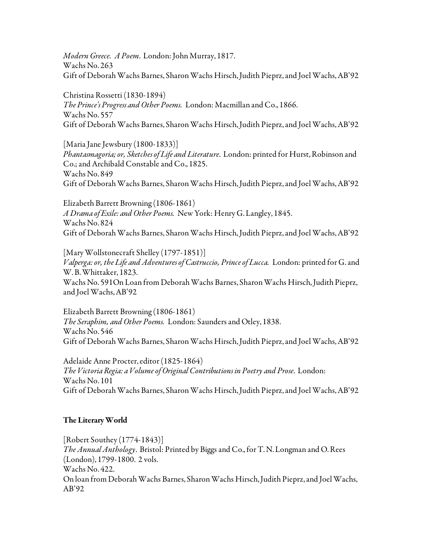*Modern Greece. A Poem*. London: John Murray, 1817. Wachs No. 263 Gift of Deborah Wachs Barnes, Sharon Wachs Hirsch, Judith Pieprz, and Joel Wachs, AB'92

Christina Rossetti (1830-1894) *The Prince's Progress and Other Poems.* London: Macmillan and Co., 1866. Wachs No. 557 Gift of Deborah Wachs Barnes, Sharon Wachs Hirsch, Judith Pieprz, and Joel Wachs, AB'92

[Maria Jane Jewsbury (1800-1833)] *Phantasmagoria; or, Sketches of Life and Literature*. London: printed for Hurst, Robinson and Co.; and Archibald Constable and Co., 1825. Wachs No. 849 Gift of Deborah Wachs Barnes, Sharon Wachs Hirsch, Judith Pieprz, and Joel Wachs, AB'92

Elizabeth Barrett Browning (1806-1861) *A Drama of Exile: and Other Poems.* New York: Henry G. Langley, 1845. Wachs No. 824 Gift of Deborah Wachs Barnes, Sharon Wachs Hirsch, Judith Pieprz, and Joel Wachs, AB'92

[Mary Wollstonecraft Shelley (1797-1851)] *Valperga: or, the Life and Adventures of Castruccio, Prince of Lucca.* London: printed for G. and W. B. Whittaker, 1823. Wachs No. 591On Loan from Deborah Wachs Barnes, Sharon Wachs Hirsch, Judith Pieprz, and Joel Wachs, AB'92

Elizabeth Barrett Browning (1806-1861) *The Seraphim, and Other Poems.* London: Saunders and Otley, 1838. Wachs No. 546 Gift of Deborah Wachs Barnes, Sharon Wachs Hirsch, Judith Pieprz, and Joel Wachs, AB'92

Adelaide Anne Procter, editor (1825-1864) *The Victoria Regia: a Volume of Original Contributions in Poetry and Prose*. London: Wachs No. 101 Gift of Deborah Wachs Barnes, Sharon Wachs Hirsch, Judith Pieprz, and Joel Wachs, AB'92

## The Literary World

[Robert Southey (1774-1843)] *The Annual Anthology*. Bristol: Printed by Biggs and Co., for T. N. Longman and O. Rees (London), 1799-1800. 2 vols. Wachs No. 422. On loan from Deborah Wachs Barnes, Sharon Wachs Hirsch, Judith Pieprz, and Joel Wachs, AB'92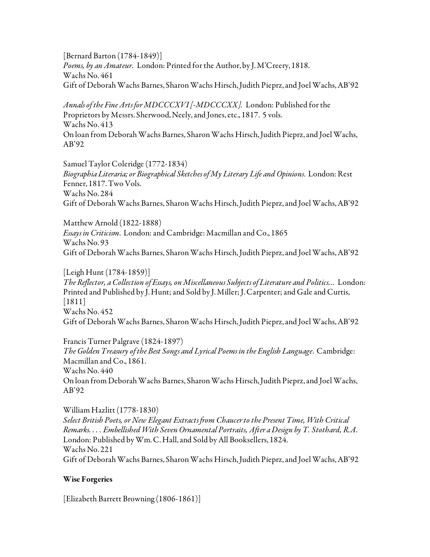[Bernard Barton (1784-1849)] *Poems, by an Amateur.* London: Printed for the Author, by J. M'Creery, 1818. Wachs No. 461 Gift of Deborah Wachs Barnes, Sharon Wachs Hirsch, Judith Pieprz, and Joel Wachs, AB'92

*Annals of the Fine Arts for MDCCCXVI [-MDCCCXX].* London: Published for the Proprietors by Messrs. Sherwood, Neely, and Jones, etc., 1817. 5 vols. Wachs No. 413 On loan from Deborah Wachs Barnes, Sharon Wachs Hirsch, Judith Pieprz, and Joel Wachs, AB'92

Samuel Taylor Coleridge (1772-1834) *Biographia Literaria; or Biographical Sketches of My Literary Life and Opinions*. London: Rest Fenner, 1817. Two Vols. Wachs No. 284 Gift of Deborah Wachs Barnes, Sharon Wachs Hirsch, Judith Pieprz, and Joel Wachs, AB'92

Matthew Arnold (1822-1888) *Essays in Criticism*. London: and Cambridge: Macmillan and Co., 1865 Wachs No. 93 Gift of Deborah Wachs Barnes, Sharon Wachs Hirsch, Judith Pieprz, and Joel Wachs, AB'92

[Leigh Hunt (1784-1859)] *The Reflector, a Collection of Essays, on Miscellaneous Subjects of Literature and Politics...* London: Printed and Published by J. Hunt; and Sold by J. Miller; J. Carpenter; and Gale and Curtis, [1811] Wachs No. 452 Gift of Deborah Wachs Barnes, Sharon Wachs Hirsch, Judith Pieprz, and Joel Wachs, AB'92

Francis Turner Palgrave (1824-1897) *The Golden Treasury of the Best Songs and Lyrical Poems in the English Language*. Cambridge: Macmillan and Co., 1861. Wachs No. 440 On loan from Deborah Wachs Barnes, Sharon Wachs Hirsch, Judith Pieprz, and Joel Wachs, AB'92

William Hazlitt (1778-1830) *Select British Poets, or New Elegant Extracts from Chaucer to the Present Time, With Critical Remarks. . . . Embellished With Seven Ornamental Portraits, After a Design by T. Stothard, R.A*. London: Published by Wm. C. Hall, and Sold by All Booksellers, 1824. Wachs No. 221 Gift of Deborah Wachs Barnes, Sharon Wachs Hirsch, Judith Pieprz, and Joel Wachs, AB'92

#### Wise Forgeries

[Elizabeth Barrett Browning (1806-1861)]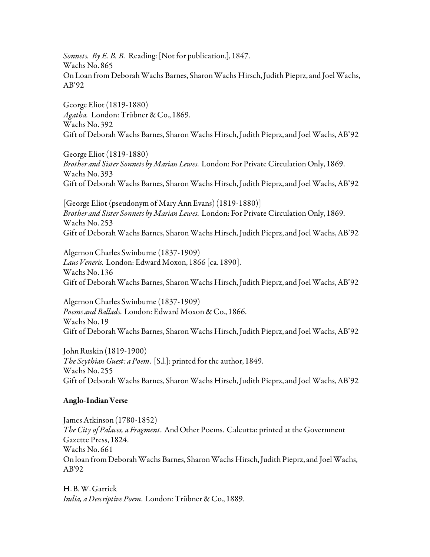*Sonnets. By E. B. B.* Reading: [Not for publication.], 1847. Wachs No. 865 On Loan from Deborah Wachs Barnes, Sharon Wachs Hirsch, Judith Pieprz, and Joel Wachs, AB'92

George Eliot (1819-1880) *Agatha.* London: Trübner & Co., 1869. Wachs No. 392 Gift of Deborah Wachs Barnes, Sharon Wachs Hirsch, Judith Pieprz, and Joel Wachs, AB'92

George Eliot (1819-1880) *Brother and Sister Sonnets by Marian Lewes*. London: For Private Circulation Only, 1869. Wachs No. 393 Gift of Deborah Wachs Barnes, Sharon Wachs Hirsch, Judith Pieprz, and Joel Wachs, AB'92

[George Eliot (pseudonym of Mary Ann Evans) (1819-1880)] *Brother and Sister Sonnets by Marian Lewes*. London: For Private Circulation Only, 1869. Wachs No. 253 Gift of Deborah Wachs Barnes, Sharon Wachs Hirsch, Judith Pieprz, and Joel Wachs, AB'92

Algernon Charles Swinburne (1837-1909) *Laus Veneris*. London: Edward Moxon, 1866 [ca. 1890]. Wachs No. 136 Gift of Deborah Wachs Barnes, Sharon Wachs Hirsch, Judith Pieprz, and Joel Wachs, AB'92

Algernon Charles Swinburne (1837-1909) *Poems and Ballads*. London: Edward Moxon & Co., 1866. Wachs No. 19 Gift of Deborah Wachs Barnes, Sharon Wachs Hirsch, Judith Pieprz, and Joel Wachs, AB'92

John Ruskin (1819-1900) *The Scythian Guest: a Poem*. [S.l.]: printed for the author, 1849. Wachs No. 255 Gift of Deborah Wachs Barnes, Sharon Wachs Hirsch, Judith Pieprz, and Joel Wachs, AB'92

#### Anglo-Indian Verse

James Atkinson (1780-1852) *The City of Palaces, a Fragment*. And Other Poems. Calcutta: printed at the Government Gazette Press, 1824. Wachs No. 661 On loan from Deborah Wachs Barnes, Sharon Wachs Hirsch, Judith Pieprz, and Joel Wachs, AB'92

H. B. W. Garrick *India, a Descriptive Poem*. London: Trübner & Co., 1889.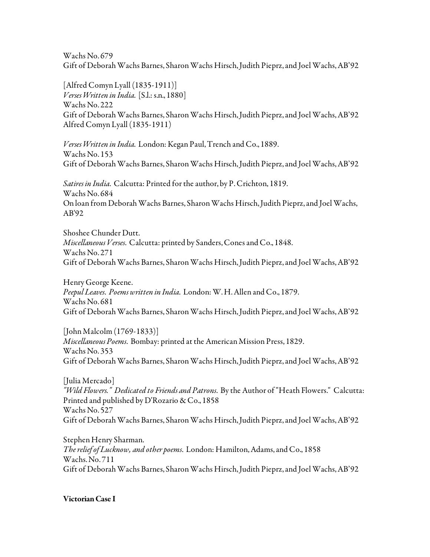Wachs No. 679 Gift of Deborah Wachs Barnes, Sharon Wachs Hirsch, Judith Pieprz, and Joel Wachs, AB'92

[Alfred Comyn Lyall (1835-1911)] *Verses Written in India*. [S.l.: s.n., 1880] Wachs No. 222 Gift of Deborah Wachs Barnes, Sharon Wachs Hirsch, Judith Pieprz, and Joel Wachs, AB'92 Alfred Comyn Lyall (1835-1911)

*Verses Written in India*. London: Kegan Paul, Trench and Co., 1889. Wachs No. 153 Gift of Deborah Wachs Barnes, Sharon Wachs Hirsch, Judith Pieprz, and Joel Wachs, AB'92

*Satires in India*. Calcutta: Printed for the author, by P. Crichton, 1819. Wachs No. 684 On loan from Deborah Wachs Barnes, Sharon Wachs Hirsch, Judith Pieprz, and Joel Wachs, AB'92

Shoshee Chunder Dutt. *Miscellaneous Verses*. Calcutta: printed by Sanders, Cones and Co., 1848. Wachs No. 271 Gift of Deborah Wachs Barnes, Sharon Wachs Hirsch, Judith Pieprz, and Joel Wachs, AB'92

Henry George Keene. *Peepul Leaves*. *Poems written in India*. London: W. H. Allen and Co., 1879. Wachs No. 681 Gift of Deborah Wachs Barnes, Sharon Wachs Hirsch, Judith Pieprz, and Joel Wachs, AB'92

[John Malcolm (1769-1833)] *Miscellaneous Poems*. Bombay: printed at the American Mission Press, 1829. Wachs No. 353 Gift of Deborah Wachs Barnes, Sharon Wachs Hirsch, Judith Pieprz, and Joel Wachs, AB'92

[Julia Mercado] *"Wild Flowers." Dedicated to Friends and Patrons*. By the Author of "Heath Flowers." Calcutta: Printed and published by D'Rozario & Co., 1858 Wachs No. 527 Gift of Deborah Wachs Barnes, Sharon Wachs Hirsch, Judith Pieprz, and Joel Wachs, AB'92

Stephen Henry Sharman. *The relief of Lucknow, and other poems*. London: Hamilton, Adams, and Co., 1858 Wachs. No. 711 Gift of Deborah Wachs Barnes, Sharon Wachs Hirsch, Judith Pieprz, and Joel Wachs, AB'92

Victorian Case I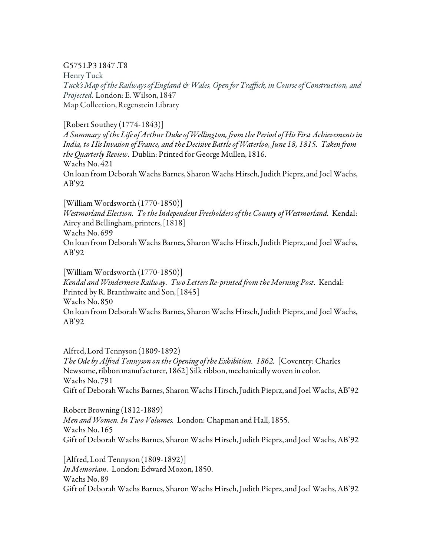## G5751.P3 1847 .T8

Henry Tuck *Tuck's Map of the Railways of England & Wales, Open for Traffick, in Course of Construction, and Projected.* London: E. Wilson, 1847 Map Collection, Regenstein Library

#### [Robert Southey (1774-1843)]

*A Summary of the Life of Arthur Duke of Wellington, from the Period of His First Achievements in India, to His Invasion of France, and the Decisive Battle of Waterloo, June 18, 1815. Taken from the Quarterly Review*. Dublin: Printed for George Mullen, 1816. Wachs No. 421 On loan from Deborah Wachs Barnes, Sharon Wachs Hirsch, Judith Pieprz, and Joel Wachs, AB'92

[William Wordsworth (1770-1850)] *Westmorland Election. To the Independent Freeholders of the County of Westmorland.* Kendal: Airey and Bellingham, printers, [1818] Wachs No. 699 On loan from Deborah Wachs Barnes, Sharon Wachs Hirsch, Judith Pieprz, and Joel Wachs, AB'92

[William Wordsworth (1770-1850)] *Kendal and Windermere Railway. Two Letters Re-printed from the Morning Post.* Kendal: Printed by R. Branthwaite and Son, [1845] Wachs No. 850 On loan from Deborah Wachs Barnes, Sharon Wachs Hirsch, Judith Pieprz, and Joel Wachs, AB'92

Alfred, Lord Tennyson (1809-1892) *The Ode by Alfred Tennyson on the Opening of the Exhibition. 1862.* [Coventry: Charles Newsome, ribbon manufacturer, 1862] Silk ribbon, mechanically woven in color. Wachs No. 791 Gift of Deborah Wachs Barnes, Sharon Wachs Hirsch, Judith Pieprz, and Joel Wachs, AB'92

Robert Browning (1812-1889) *Men and Women. In Two Volumes.* London: Chapman and Hall, 1855. Wachs No. 165 Gift of Deborah Wachs Barnes, Sharon Wachs Hirsch, Judith Pieprz, and Joel Wachs, AB'92

[Alfred, Lord Tennyson (1809-1892)] *In Memoriam.* London: Edward Moxon, 1850. Wachs No. 89 Gift of Deborah Wachs Barnes, Sharon Wachs Hirsch, Judith Pieprz, and Joel Wachs, AB'92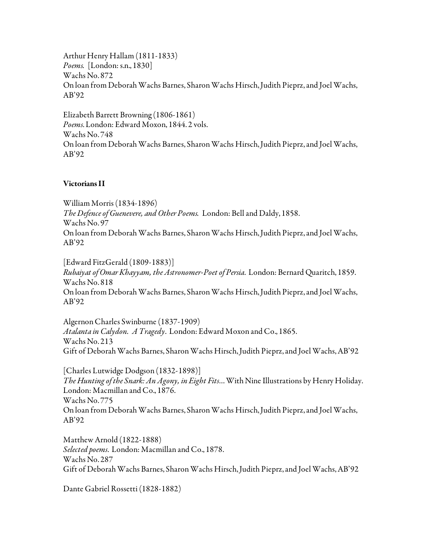Arthur Henry Hallam (1811-1833) *Poems.* [London: s.n., 1830] Wachs No. 872 On loan from Deborah Wachs Barnes, Sharon Wachs Hirsch, Judith Pieprz, and Joel Wachs, AB'92

Elizabeth Barrett Browning (1806-1861) *Poems*. London: Edward Moxon, 1844. 2 vols. Wachs No. 748 On loan from Deborah Wachs Barnes, Sharon Wachs Hirsch, Judith Pieprz, and Joel Wachs, AB'92

#### Victorians II

William Morris (1834-1896) *The Defence of Guenevere, and Other Poems.* London: Bell and Daldy, 1858. Wachs No. 97 On loan from Deborah Wachs Barnes, Sharon Wachs Hirsch, Judith Pieprz, and Joel Wachs, AB'92

[Edward FitzGerald (1809-1883)] *Rubaiyat of Omar Khayyam, the Astronomer-Poet of Persia*. London: Bernard Quaritch, 1859. Wachs No. 818 On loan from Deborah Wachs Barnes, Sharon Wachs Hirsch, Judith Pieprz, and Joel Wachs, AB'92

Algernon Charles Swinburne (1837-1909) *Atalanta in Calydon. A Tragedy*. London: Edward Moxon and Co., 1865. Wachs No. 213 Gift of Deborah Wachs Barnes, Sharon Wachs Hirsch, Judith Pieprz, and Joel Wachs, AB'92

[Charles Lutwidge Dodgson (1832-1898)] *The Hunting of the Snark: An Agony, in Eight Fits*… With Nine Illustrations by Henry Holiday. London: Macmillan and Co., 1876. Wachs No. 775 On loan from Deborah Wachs Barnes, Sharon Wachs Hirsch, Judith Pieprz, and Joel Wachs, AB'92

Matthew Arnold (1822-1888) *Selected poems*. London: Macmillan and Co., 1878. Wachs No. 287 Gift of Deborah Wachs Barnes, Sharon Wachs Hirsch, Judith Pieprz, and Joel Wachs, AB'92

Dante Gabriel Rossetti (1828-1882)